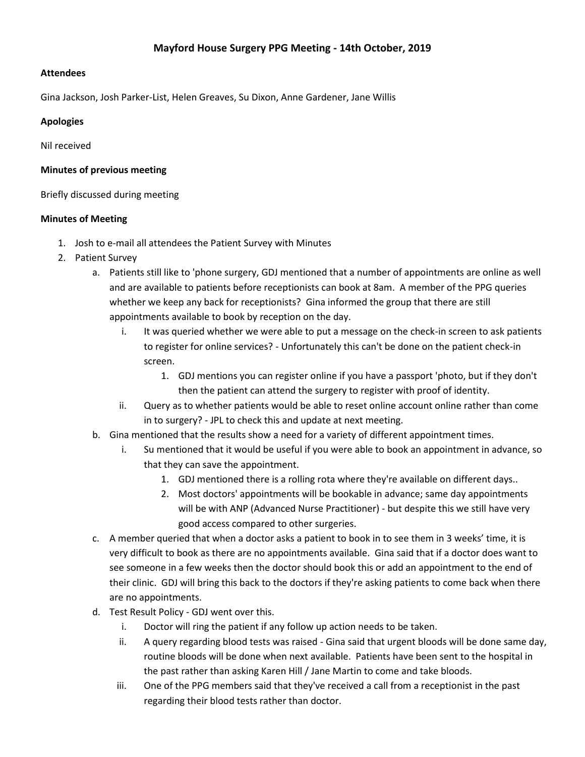## **Mayford House Surgery PPG Meeting - 14th October, 2019**

#### **Attendees**

Gina Jackson, Josh Parker-List, Helen Greaves, Su Dixon, Anne Gardener, Jane Willis

#### **Apologies**

Nil received

#### **Minutes of previous meeting**

Briefly discussed during meeting

#### **Minutes of Meeting**

- 1. Josh to e-mail all attendees the Patient Survey with Minutes
- 2. Patient Survey
	- a. Patients still like to 'phone surgery, GDJ mentioned that a number of appointments are online as well and are available to patients before receptionists can book at 8am. A member of the PPG queries whether we keep any back for receptionists? Gina informed the group that there are still appointments available to book by reception on the day.
		- i. It was queried whether we were able to put a message on the check-in screen to ask patients to register for online services? - Unfortunately this can't be done on the patient check-in screen.
			- 1. GDJ mentions you can register online if you have a passport 'photo, but if they don't then the patient can attend the surgery to register with proof of identity.
		- ii. Query as to whether patients would be able to reset online account online rather than come in to surgery? - JPL to check this and update at next meeting.
	- b. Gina mentioned that the results show a need for a variety of different appointment times.
		- i. Su mentioned that it would be useful if you were able to book an appointment in advance, so that they can save the appointment.
			- 1. GDJ mentioned there is a rolling rota where they're available on different days..
			- 2. Most doctors' appointments will be bookable in advance; same day appointments will be with ANP (Advanced Nurse Practitioner) - but despite this we still have very good access compared to other surgeries.
	- c. A member queried that when a doctor asks a patient to book in to see them in 3 weeks' time, it is very difficult to book as there are no appointments available. Gina said that if a doctor does want to see someone in a few weeks then the doctor should book this or add an appointment to the end of their clinic. GDJ will bring this back to the doctors if they're asking patients to come back when there are no appointments.
	- d. Test Result Policy GDJ went over this.
		- i. Doctor will ring the patient if any follow up action needs to be taken.
		- ii. A query regarding blood tests was raised Gina said that urgent bloods will be done same day, routine bloods will be done when next available. Patients have been sent to the hospital in the past rather than asking Karen Hill / Jane Martin to come and take bloods.
		- iii. One of the PPG members said that they've received a call from a receptionist in the past regarding their blood tests rather than doctor.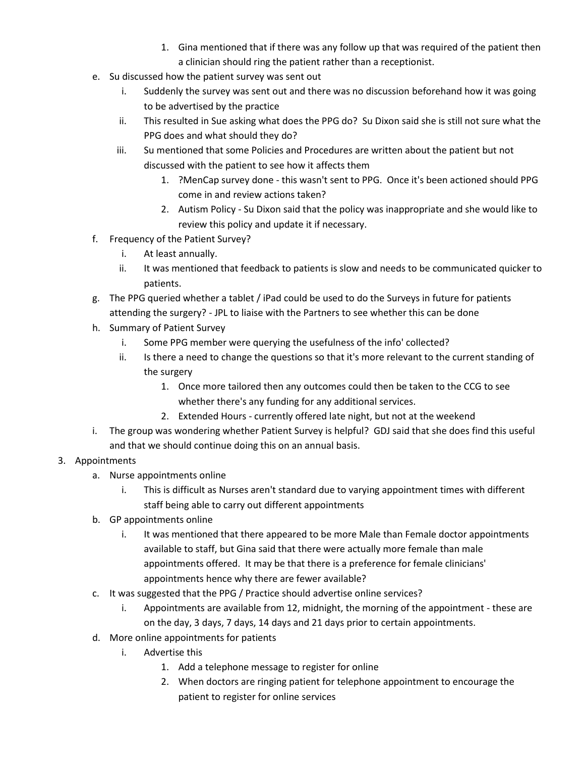- 1. Gina mentioned that if there was any follow up that was required of the patient then a clinician should ring the patient rather than a receptionist.
- e. Su discussed how the patient survey was sent out
	- i. Suddenly the survey was sent out and there was no discussion beforehand how it was going to be advertised by the practice
	- ii. This resulted in Sue asking what does the PPG do? Su Dixon said she is still not sure what the PPG does and what should they do?
	- iii. Su mentioned that some Policies and Procedures are written about the patient but not discussed with the patient to see how it affects them
		- 1. ?MenCap survey done this wasn't sent to PPG. Once it's been actioned should PPG come in and review actions taken?
		- 2. Autism Policy Su Dixon said that the policy was inappropriate and she would like to review this policy and update it if necessary.
- f. Frequency of the Patient Survey?
	- i. At least annually.
	- ii. It was mentioned that feedback to patients is slow and needs to be communicated quicker to patients.
- g. The PPG queried whether a tablet / iPad could be used to do the Surveys in future for patients attending the surgery? - JPL to liaise with the Partners to see whether this can be done
- h. Summary of Patient Survey
	- i. Some PPG member were querying the usefulness of the info' collected?
	- ii. Is there a need to change the questions so that it's more relevant to the current standing of the surgery
		- 1. Once more tailored then any outcomes could then be taken to the CCG to see whether there's any funding for any additional services.
		- 2. Extended Hours currently offered late night, but not at the weekend
- i. The group was wondering whether Patient Survey is helpful? GDJ said that she does find this useful and that we should continue doing this on an annual basis.

# 3. Appointments

- a. Nurse appointments online
	- i. This is difficult as Nurses aren't standard due to varying appointment times with different staff being able to carry out different appointments
- b. GP appointments online
	- i. It was mentioned that there appeared to be more Male than Female doctor appointments available to staff, but Gina said that there were actually more female than male appointments offered. It may be that there is a preference for female clinicians' appointments hence why there are fewer available?
- c. It was suggested that the PPG / Practice should advertise online services?
	- i. Appointments are available from 12, midnight, the morning of the appointment these are on the day, 3 days, 7 days, 14 days and 21 days prior to certain appointments.
- d. More online appointments for patients
	- i. Advertise this
		- 1. Add a telephone message to register for online
		- 2. When doctors are ringing patient for telephone appointment to encourage the patient to register for online services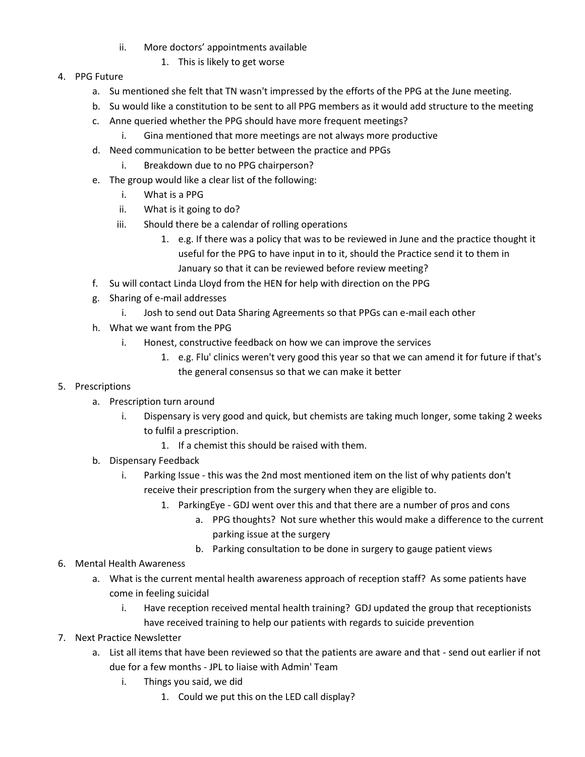- ii. More doctors' appointments available
	- 1. This is likely to get worse
- 4. PPG Future
	- a. Su mentioned she felt that TN wasn't impressed by the efforts of the PPG at the June meeting.
	- b. Su would like a constitution to be sent to all PPG members as it would add structure to the meeting
	- c. Anne queried whether the PPG should have more frequent meetings?
		- i. Gina mentioned that more meetings are not always more productive
	- d. Need communication to be better between the practice and PPGs
		- i. Breakdown due to no PPG chairperson?
	- e. The group would like a clear list of the following:
		- i. What is a PPG
		- ii. What is it going to do?
		- iii. Should there be a calendar of rolling operations
			- 1. e.g. If there was a policy that was to be reviewed in June and the practice thought it useful for the PPG to have input in to it, should the Practice send it to them in January so that it can be reviewed before review meeting?
	- f. Su will contact Linda Lloyd from the HEN for help with direction on the PPG
	- g. Sharing of e-mail addresses
		- i. Josh to send out Data Sharing Agreements so that PPGs can e-mail each other
	- h. What we want from the PPG
		- i. Honest, constructive feedback on how we can improve the services
			- 1. e.g. Flu' clinics weren't very good this year so that we can amend it for future if that's the general consensus so that we can make it better

### 5. Prescriptions

- a. Prescription turn around
	- i. Dispensary is very good and quick, but chemists are taking much longer, some taking 2 weeks to fulfil a prescription.
		- 1. If a chemist this should be raised with them.
- b. Dispensary Feedback
	- i. Parking Issue this was the 2nd most mentioned item on the list of why patients don't receive their prescription from the surgery when they are eligible to.
		- 1. ParkingEye GDJ went over this and that there are a number of pros and cons
			- a. PPG thoughts? Not sure whether this would make a difference to the current parking issue at the surgery
			- b. Parking consultation to be done in surgery to gauge patient views
- 6. Mental Health Awareness
	- a. What is the current mental health awareness approach of reception staff? As some patients have come in feeling suicidal
		- i. Have reception received mental health training? GDJ updated the group that receptionists have received training to help our patients with regards to suicide prevention

### 7. Next Practice Newsletter

- a. List all items that have been reviewed so that the patients are aware and that send out earlier if not due for a few months - JPL to liaise with Admin' Team
	- i. Things you said, we did
		- 1. Could we put this on the LED call display?